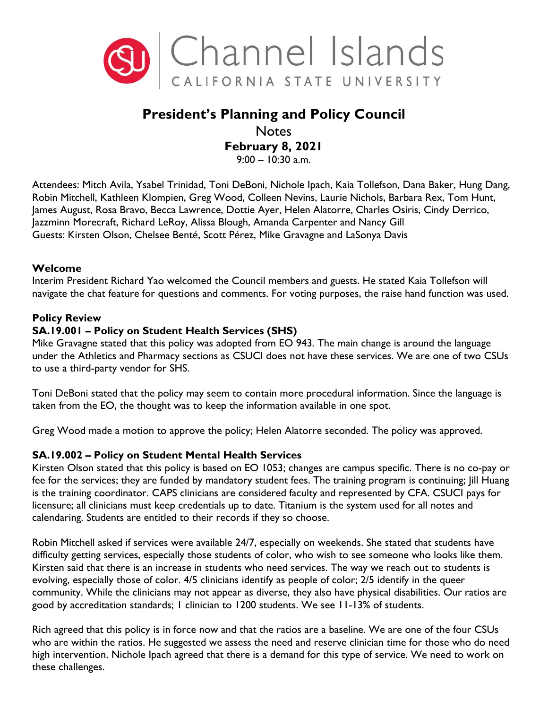

# **President's Planning and Policy Council**

# **Notes February 8, 2021**

9:00 – 10:30 a.m.

Attendees: Mitch Avila, Ysabel Trinidad, Toni DeBoni, Nichole Ipach, Kaia Tollefson, Dana Baker, Hung Dang, Robin Mitchell, Kathleen Klompien, Greg Wood, Colleen Nevins, Laurie Nichols, Barbara Rex, Tom Hunt, James August, Rosa Bravo, Becca Lawrence, Dottie Ayer, Helen Alatorre, Charles Osiris, Cindy Derrico, Jazzminn Morecraft, Richard LeRoy, Alissa Blough, Amanda Carpenter and Nancy Gill Guests: Kirsten Olson, Chelsee Benté, Scott Pérez, Mike Gravagne and LaSonya Davis

#### **Welcome**

Interim President Richard Yao welcomed the Council members and guests. He stated Kaia Tollefson will navigate the chat feature for questions and comments. For voting purposes, the raise hand function was used.

#### **Policy Review**

#### **SA.19.001 – Policy on Student Health Services (SHS)**

Mike Gravagne stated that this policy was adopted from EO 943. The main change is around the language under the Athletics and Pharmacy sections as CSUCI does not have these services. We are one of two CSUs to use a third-party vendor for SHS.

Toni DeBoni stated that the policy may seem to contain more procedural information. Since the language is taken from the EO, the thought was to keep the information available in one spot.

Greg Wood made a motion to approve the policy; Helen Alatorre seconded. The policy was approved.

#### **SA.19.002 – Policy on Student Mental Health Services**

Kirsten Olson stated that this policy is based on EO 1053; changes are campus specific. There is no co-pay or fee for the services; they are funded by mandatory student fees. The training program is continuing; Jill Huang is the training coordinator. CAPS clinicians are considered faculty and represented by CFA. CSUCI pays for licensure; all clinicians must keep credentials up to date. Titanium is the system used for all notes and calendaring. Students are entitled to their records if they so choose.

Robin Mitchell asked if services were available 24/7, especially on weekends. She stated that students have difficulty getting services, especially those students of color, who wish to see someone who looks like them. Kirsten said that there is an increase in students who need services. The way we reach out to students is evolving, especially those of color. 4/5 clinicians identify as people of color; 2/5 identify in the queer community. While the clinicians may not appear as diverse, they also have physical disabilities. Our ratios are good by accreditation standards; 1 clinician to 1200 students. We see 11-13% of students.

Rich agreed that this policy is in force now and that the ratios are a baseline. We are one of the four CSUs who are within the ratios. He suggested we assess the need and reserve clinician time for those who do need high intervention. Nichole Ipach agreed that there is a demand for this type of service. We need to work on these challenges.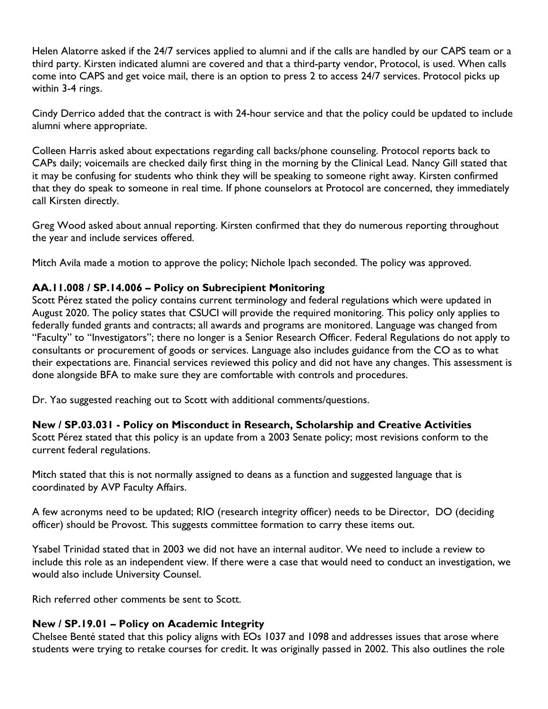Helen Alatorre asked if the 24/7 services applied to alumni and if the calls are handled by our CAPS team or a third party. Kirsten indicated alumni are covered and that a third-party vendor, Protocol, is used. When calls come into CAPS and get voice mail, there is an option to press 2 to access 24/7 services. Protocol picks up within 3-4 rings.

Cindy Derrico added that the contract is with 24-hour service and that the policy could be updated to include alumni where appropriate.

Colleen Harris asked about expectations regarding call backs/phone counseling. Protocol reports back to CAPs daily; voicemails are checked daily first thing in the morning by the Clinical Lead. Nancy Gill stated that it may be confusing for students who think they will be speaking to someone right away. Kirsten confirmed that they do speak to someone in real time. If phone counselors at Protocol are concerned, they immediately call Kirsten directly.

Greg Wood asked about annual reporting. Kirsten confirmed that they do numerous reporting throughout the year and include services offered.

Mitch Avila made a motion to approve the policy; Nichole Ipach seconded. The policy was approved.

#### **AA.11.008 / SP.14.006 – Policy on Subrecipient Monitoring**

Scott Pérez stated the policy contains current terminology and federal regulations which were updated in August 2020. The policy states that CSUCI will provide the required monitoring. This policy only applies to federally funded grants and contracts; all awards and programs are monitored. Language was changed from "Faculty" to "Investigators"; there no longer is a Senior Research Officer. Federal Regulations do not apply to consultants or procurement of goods or services. Language also includes guidance from the CO as to what their expectations are. Financial services reviewed this policy and did not have any changes. This assessment is done alongside BFA to make sure they are comfortable with controls and procedures.

Dr. Yao suggested reaching out to Scott with additional comments/questions.

#### **New / SP.03.031 - Policy on Misconduct in Research, Scholarship and Creative Activities**

Scott Pérez stated that this policy is an update from a 2003 Senate policy; most revisions conform to the current federal regulations.

Mitch stated that this is not normally assigned to deans as a function and suggested language that is coordinated by AVP Faculty Affairs.

A few acronyms need to be updated; RIO (research integrity officer) needs to be Director, DO (deciding officer) should be Provost. This suggests committee formation to carry these items out.

Ysabel Trinidad stated that in 2003 we did not have an internal auditor. We need to include a review to include this role as an independent view. If there were a case that would need to conduct an investigation, we would also include University Counsel.

Rich referred other comments be sent to Scott.

#### **New / SP.19.01 – Policy on Academic Integrity**

Chelsee Benté stated that this policy aligns with EOs 1037 and 1098 and addresses issues that arose where students were trying to retake courses for credit. It was originally passed in 2002. This also outlines the role